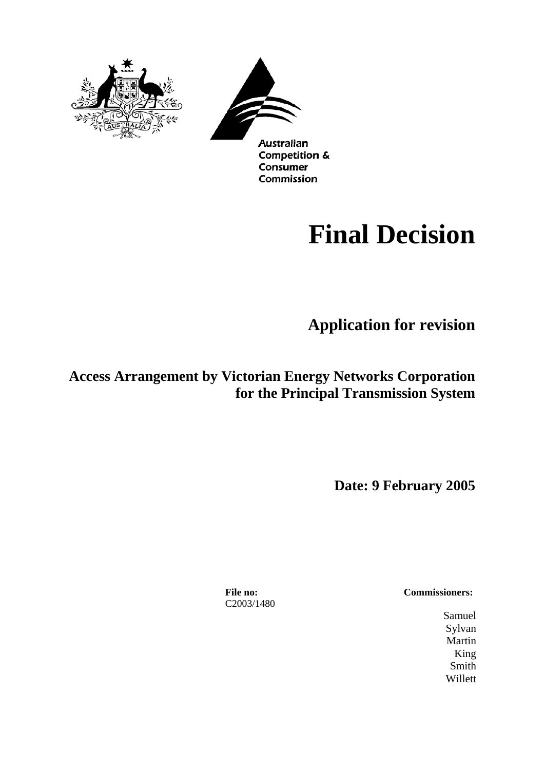



**Competition &** Consumer Commission

# **Final Decision**

**Application for revision** 

**Access Arrangement by Victorian Energy Networks Corporation for the Principal Transmission System**

**Date: 9 February 2005** 

C2003/1480

**File no: Commissioners:**

Samuel Sylvan Martin King Smith Willett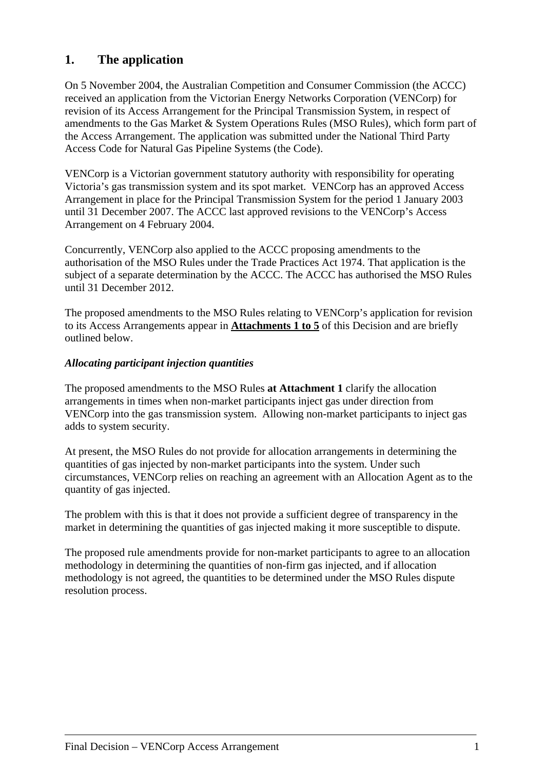# **1. The application**

On 5 November 2004, the Australian Competition and Consumer Commission (the ACCC) received an application from the Victorian Energy Networks Corporation (VENCorp) for revision of its Access Arrangement for the Principal Transmission System, in respect of amendments to the Gas Market & System Operations Rules (MSO Rules), which form part of the Access Arrangement. The application was submitted under the National Third Party Access Code for Natural Gas Pipeline Systems (the Code).

VENCorp is a Victorian government statutory authority with responsibility for operating Victoria's gas transmission system and its spot market. VENCorp has an approved Access Arrangement in place for the Principal Transmission System for the period 1 January 2003 until 31 December 2007. The ACCC last approved revisions to the VENCorp's Access Arrangement on 4 February 2004.

Concurrently, VENCorp also applied to the ACCC proposing amendments to the authorisation of the MSO Rules under the Trade Practices Act 1974. That application is the subject of a separate determination by the ACCC. The ACCC has authorised the MSO Rules until 31 December 2012.

The proposed amendments to the MSO Rules relating to VENCorp's application for revision to its Access Arrangements appear in **Attachments 1 to 5** of this Decision and are briefly outlined below.

### *Allocating participant injection quantities*

The proposed amendments to the MSO Rules **at Attachment 1** clarify the allocation arrangements in times when non-market participants inject gas under direction from VENCorp into the gas transmission system. Allowing non-market participants to inject gas adds to system security.

At present, the MSO Rules do not provide for allocation arrangements in determining the quantities of gas injected by non-market participants into the system. Under such circumstances, VENCorp relies on reaching an agreement with an Allocation Agent as to the quantity of gas injected.

The problem with this is that it does not provide a sufficient degree of transparency in the market in determining the quantities of gas injected making it more susceptible to dispute.

The proposed rule amendments provide for non-market participants to agree to an allocation methodology in determining the quantities of non-firm gas injected, and if allocation methodology is not agreed, the quantities to be determined under the MSO Rules dispute resolution process.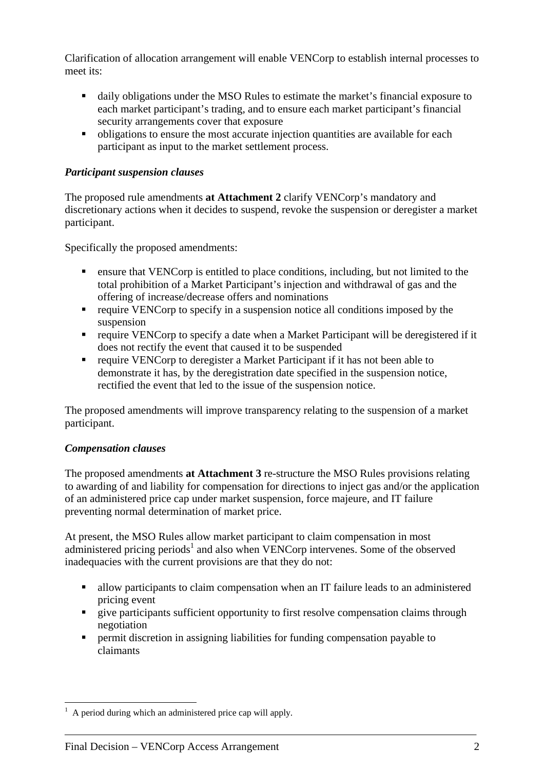Clarification of allocation arrangement will enable VENCorp to establish internal processes to meet its:

- daily obligations under the MSO Rules to estimate the market's financial exposure to each market participant's trading, and to ensure each market participant's financial security arrangements cover that exposure
- obligations to ensure the most accurate injection quantities are available for each participant as input to the market settlement process.

### *Participant suspension clauses*

The proposed rule amendments **at Attachment 2** clarify VENCorp's mandatory and discretionary actions when it decides to suspend, revoke the suspension or deregister a market participant.

Specifically the proposed amendments:

- ensure that VENCorp is entitled to place conditions, including, but not limited to the total prohibition of a Market Participant's injection and withdrawal of gas and the offering of increase/decrease offers and nominations
- $\blacksquare$  require VENCorp to specify in a suspension notice all conditions imposed by the suspension
- **F** require VENCorp to specify a date when a Market Participant will be deregistered if it does not rectify the event that caused it to be suspended
- require VENCorp to deregister a Market Participant if it has not been able to demonstrate it has, by the deregistration date specified in the suspension notice, rectified the event that led to the issue of the suspension notice.

The proposed amendments will improve transparency relating to the suspension of a market participant.

### *Compensation clauses*

The proposed amendments **at Attachment 3** re-structure the MSO Rules provisions relating to awarding of and liability for compensation for directions to inject gas and/or the application of an administered price cap under market suspension, force majeure, and IT failure preventing normal determination of market price.

At present, the MSO Rules allow market participant to claim compensation in most administered pricing periods<sup>1</sup> and also when VENCorp intervenes. Some of the observed inadequacies with the current provisions are that they do not:

- allow participants to claim compensation when an IT failure leads to an administered pricing event
- **T** give participants sufficient opportunity to first resolve compensation claims through negotiation
- **P** permit discretion in assigning liabilities for funding compensation payable to claimants

 $\overline{a}$  $<sup>1</sup>$  A period during which an administered price cap will apply.</sup>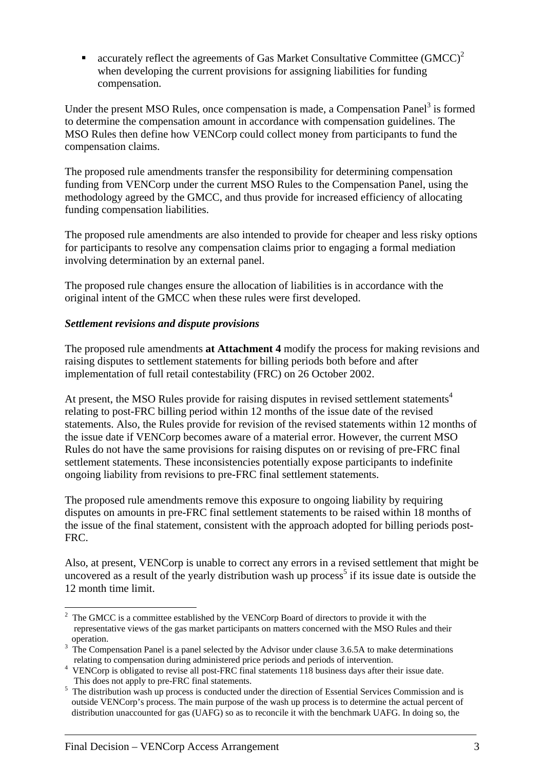accurately reflect the agreements of Gas Market Consultative Committee  $(GMCC)^2$ when developing the current provisions for assigning liabilities for funding compensation.

Under the present MSO Rules, once compensation is made, a Compensation Panel<sup>3</sup> is formed to determine the compensation amount in accordance with compensation guidelines. The MSO Rules then define how VENCorp could collect money from participants to fund the compensation claims.

The proposed rule amendments transfer the responsibility for determining compensation funding from VENCorp under the current MSO Rules to the Compensation Panel, using the methodology agreed by the GMCC, and thus provide for increased efficiency of allocating funding compensation liabilities.

The proposed rule amendments are also intended to provide for cheaper and less risky options for participants to resolve any compensation claims prior to engaging a formal mediation involving determination by an external panel.

The proposed rule changes ensure the allocation of liabilities is in accordance with the original intent of the GMCC when these rules were first developed.

### *Settlement revisions and dispute provisions*

The proposed rule amendments **at Attachment 4** modify the process for making revisions and raising disputes to settlement statements for billing periods both before and after implementation of full retail contestability (FRC) on 26 October 2002.

At present, the MSO Rules provide for raising disputes in revised settlement statements<sup>4</sup> relating to post-FRC billing period within 12 months of the issue date of the revised statements. Also, the Rules provide for revision of the revised statements within 12 months of the issue date if VENCorp becomes aware of a material error. However, the current MSO Rules do not have the same provisions for raising disputes on or revising of pre-FRC final settlement statements. These inconsistencies potentially expose participants to indefinite ongoing liability from revisions to pre-FRC final settlement statements.

The proposed rule amendments remove this exposure to ongoing liability by requiring disputes on amounts in pre-FRC final settlement statements to be raised within 18 months of the issue of the final statement, consistent with the approach adopted for billing periods post-FRC.

Also, at present, VENCorp is unable to correct any errors in a revised settlement that might be uncovered as a result of the yearly distribution wash up process<sup>5</sup> if its issue date is outside the 12 month time limit.

 $\overline{a}$  $2^2$  The GMCC is a committee established by the VENCorp Board of directors to provide it with the representative views of the gas market participants on matters concerned with the MSO Rules and their operation.

 $3 \text{ The Compensation Panel is a panel selected by the Advisor under clause } 3.6.5\text{A}$  to make determinations relating to compensation during administered price periods and periods of intervention.

<sup>&</sup>lt;sup>4</sup> VENCorp is obligated to revise all post-FRC final statements 118 business days after their issue date. This does not apply to pre-FRC final statements.

<sup>&</sup>lt;sup>5</sup> The distribution wash up process is conducted under the direction of Essential Services Commission and is outside VENCorp's process. The main purpose of the wash up process is to determine the actual percent of distribution unaccounted for gas (UAFG) so as to reconcile it with the benchmark UAFG. In doing so, the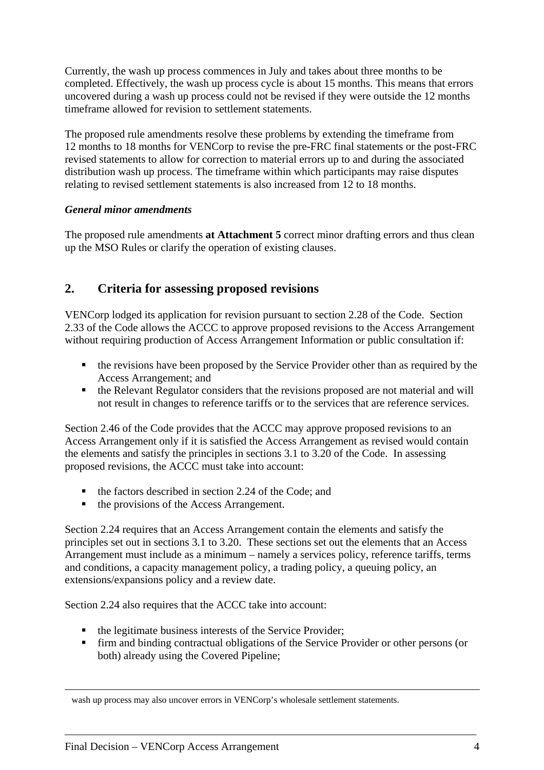Currently, the wash up process commences in July and takes about three months to be completed. Effectively, the wash up process cycle is about 15 months. This means that errors uncovered during a wash up process could not be revised if they were outside the 12 months timeframe allowed for revision to settlement statements.

The proposed rule amendments resolve these problems by extending the timeframe from 12 months to 18 months for VENCorp to revise the pre-FRC final statements or the post-FRC revised statements to allow for correction to material errors up to and during the associated distribution wash up process. The timeframe within which participants may raise disputes relating to revised settlement statements is also increased from 12 to 18 months.

### *General minor amendments*

The proposed rule amendments **at Attachment 5** correct minor drafting errors and thus clean up the MSO Rules or clarify the operation of existing clauses.

# **2. Criteria for assessing proposed revisions**

VENCorp lodged its application for revision pursuant to section 2.28 of the Code. Section 2.33 of the Code allows the ACCC to approve proposed revisions to the Access Arrangement without requiring production of Access Arrangement Information or public consultation if:

- $\blacksquare$  the revisions have been proposed by the Service Provider other than as required by the Access Arrangement; and
- the Relevant Regulator considers that the revisions proposed are not material and will not result in changes to reference tariffs or to the services that are reference services.

Section 2.46 of the Code provides that the ACCC may approve proposed revisions to an Access Arrangement only if it is satisfied the Access Arrangement as revised would contain the elements and satisfy the principles in sections 3.1 to 3.20 of the Code. In assessing proposed revisions, the ACCC must take into account:

- $\blacksquare$  the factors described in section 2.24 of the Code; and
- the provisions of the Access Arrangement.

Section 2.24 requires that an Access Arrangement contain the elements and satisfy the principles set out in sections 3.1 to 3.20. These sections set out the elements that an Access Arrangement must include as a minimum – namely a services policy, reference tariffs, terms and conditions, a capacity management policy, a trading policy, a queuing policy, an extensions/expansions policy and a review date.

Section 2.24 also requires that the ACCC take into account:

- the legitimate business interests of the Service Provider;
- firm and binding contractual obligations of the Service Provider or other persons (or both) already using the Covered Pipeline;

wash up process may also uncover errors in VENCorp's wholesale settlement statements.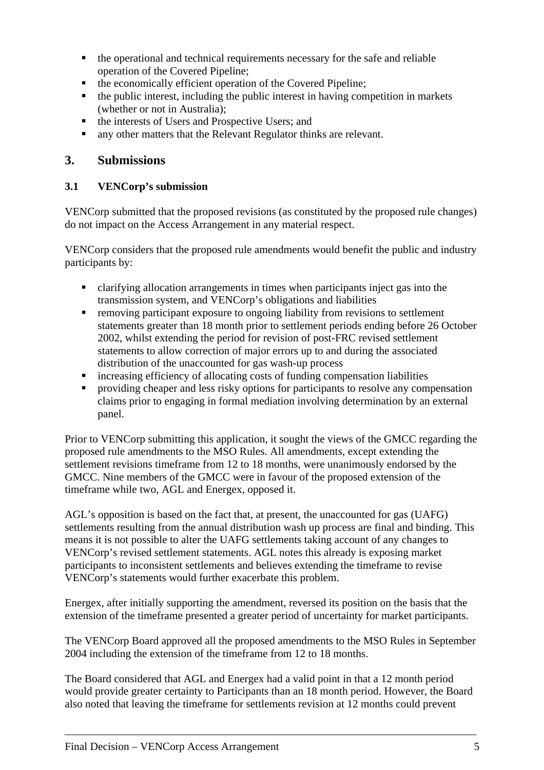- the operational and technical requirements necessary for the safe and reliable operation of the Covered Pipeline;
- the economically efficient operation of the Covered Pipeline;
- $\blacksquare$  the public interest, including the public interest in having competition in markets (whether or not in Australia);
- $\blacksquare$  the interests of Users and Prospective Users; and
- any other matters that the Relevant Regulator thinks are relevant.

# **3. Submissions**

# **3.1 VENCorp's submission**

VENCorp submitted that the proposed revisions (as constituted by the proposed rule changes) do not impact on the Access Arrangement in any material respect.

VENCorp considers that the proposed rule amendments would benefit the public and industry participants by:

- clarifying allocation arrangements in times when participants inject gas into the transmission system, and VENCorp's obligations and liabilities
- removing participant exposure to ongoing liability from revisions to settlement statements greater than 18 month prior to settlement periods ending before 26 October 2002, whilst extending the period for revision of post-FRC revised settlement statements to allow correction of major errors up to and during the associated distribution of the unaccounted for gas wash-up process
- increasing efficiency of allocating costs of funding compensation liabilities
- providing cheaper and less risky options for participants to resolve any compensation claims prior to engaging in formal mediation involving determination by an external panel.

Prior to VENCorp submitting this application, it sought the views of the GMCC regarding the proposed rule amendments to the MSO Rules. All amendments, except extending the settlement revisions timeframe from 12 to 18 months, were unanimously endorsed by the GMCC. Nine members of the GMCC were in favour of the proposed extension of the timeframe while two, AGL and Energex, opposed it.

AGL's opposition is based on the fact that, at present, the unaccounted for gas (UAFG) settlements resulting from the annual distribution wash up process are final and binding. This means it is not possible to alter the UAFG settlements taking account of any changes to VENCorp's revised settlement statements. AGL notes this already is exposing market participants to inconsistent settlements and believes extending the timeframe to revise VENCorp's statements would further exacerbate this problem.

Energex, after initially supporting the amendment, reversed its position on the basis that the extension of the timeframe presented a greater period of uncertainty for market participants.

The VENCorp Board approved all the proposed amendments to the MSO Rules in September 2004 including the extension of the timeframe from 12 to 18 months.

The Board considered that AGL and Energex had a valid point in that a 12 month period would provide greater certainty to Participants than an 18 month period. However, the Board also noted that leaving the timeframe for settlements revision at 12 months could prevent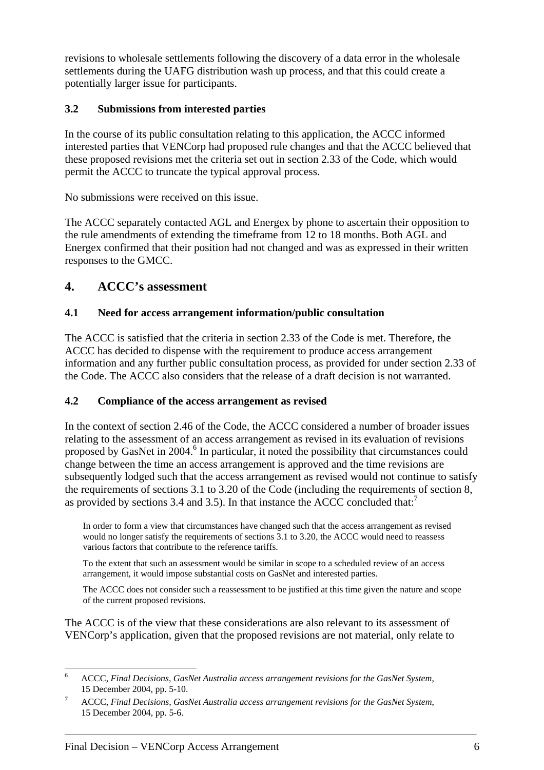revisions to wholesale settlements following the discovery of a data error in the wholesale settlements during the UAFG distribution wash up process, and that this could create a potentially larger issue for participants.

# **3.2 Submissions from interested parties**

In the course of its public consultation relating to this application, the ACCC informed interested parties that VENCorp had proposed rule changes and that the ACCC believed that these proposed revisions met the criteria set out in section 2.33 of the Code, which would permit the ACCC to truncate the typical approval process.

No submissions were received on this issue.

The ACCC separately contacted AGL and Energex by phone to ascertain their opposition to the rule amendments of extending the timeframe from 12 to 18 months. Both AGL and Energex confirmed that their position had not changed and was as expressed in their written responses to the GMCC.

# **4. ACCC's assessment**

# **4.1 Need for access arrangement information/public consultation**

The ACCC is satisfied that the criteria in section 2.33 of the Code is met. Therefore, the ACCC has decided to dispense with the requirement to produce access arrangement information and any further public consultation process, as provided for under section 2.33 of the Code. The ACCC also considers that the release of a draft decision is not warranted.

# **4.2 Compliance of the access arrangement as revised**

In the context of section 2.46 of the Code, the ACCC considered a number of broader issues relating to the assessment of an access arrangement as revised in its evaluation of revisions proposed by GasNet in 2004.<sup>6</sup> In particular, it noted the possibility that circumstances could change between the time an access arrangement is approved and the time revisions are subsequently lodged such that the access arrangement as revised would not continue to satisfy the requirements of sections 3.1 to 3.20 of the Code (including the requirements of section 8, as provided by sections 3.4 and 3.5). In that instance the ACCC concluded that:<sup>7</sup>

In order to form a view that circumstances have changed such that the access arrangement as revised would no longer satisfy the requirements of sections 3.1 to 3.20, the ACCC would need to reassess various factors that contribute to the reference tariffs.

To the extent that such an assessment would be similar in scope to a scheduled review of an access arrangement, it would impose substantial costs on GasNet and interested parties.

The ACCC does not consider such a reassessment to be justified at this time given the nature and scope of the current proposed revisions.

The ACCC is of the view that these considerations are also relevant to its assessment of VENCorp's application, given that the proposed revisions are not material, only relate to

 $\overline{a}$ 6 ACCC, *Final Decisions, GasNet Australia access arrangement revisions for the GasNet System*, 15 December 2004, pp. 5-10.

ACCC, *Final Decisions, GasNet Australia access arrangement revisions for the GasNet System*, 15 December 2004, pp. 5-6.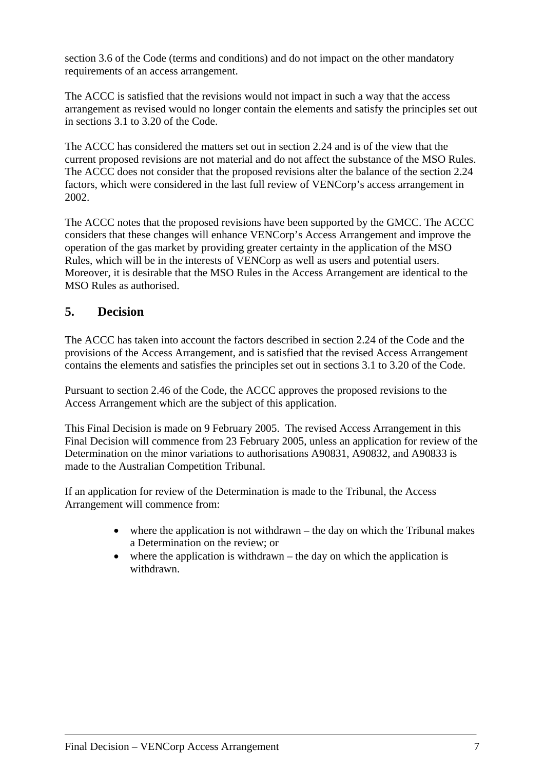section 3.6 of the Code (terms and conditions) and do not impact on the other mandatory requirements of an access arrangement.

The ACCC is satisfied that the revisions would not impact in such a way that the access arrangement as revised would no longer contain the elements and satisfy the principles set out in sections 3.1 to 3.20 of the Code.

The ACCC has considered the matters set out in section 2.24 and is of the view that the current proposed revisions are not material and do not affect the substance of the MSO Rules. The ACCC does not consider that the proposed revisions alter the balance of the section 2.24 factors, which were considered in the last full review of VENCorp's access arrangement in 2002.

The ACCC notes that the proposed revisions have been supported by the GMCC. The ACCC considers that these changes will enhance VENCorp's Access Arrangement and improve the operation of the gas market by providing greater certainty in the application of the MSO Rules, which will be in the interests of VENCorp as well as users and potential users. Moreover, it is desirable that the MSO Rules in the Access Arrangement are identical to the MSO Rules as authorised.

# **5. Decision**

The ACCC has taken into account the factors described in section 2.24 of the Code and the provisions of the Access Arrangement, and is satisfied that the revised Access Arrangement contains the elements and satisfies the principles set out in sections 3.1 to 3.20 of the Code.

Pursuant to section 2.46 of the Code, the ACCC approves the proposed revisions to the Access Arrangement which are the subject of this application.

This Final Decision is made on 9 February 2005. The revised Access Arrangement in this Final Decision will commence from 23 February 2005, unless an application for review of the Determination on the minor variations to authorisations A90831, A90832, and A90833 is made to the Australian Competition Tribunal.

If an application for review of the Determination is made to the Tribunal, the Access Arrangement will commence from:

- where the application is not withdrawn the day on which the Tribunal makes a Determination on the review; or
- where the application is withdrawn the day on which the application is withdrawn.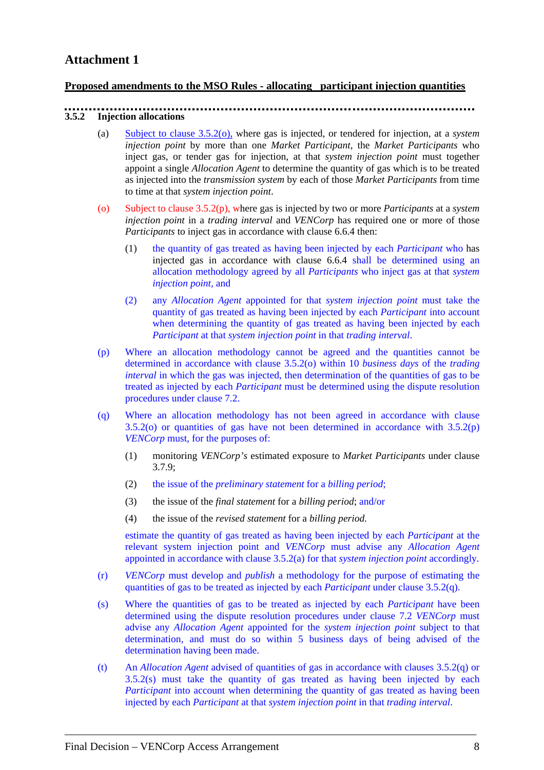#### **Proposed amendments to the MSO Rules - allocating participant injection quantities**

# **3.5.2 Injection allocations**

- (a) Subject to clause 3.5.2(o), where gas is injected, or tendered for injection, at a *system injection point* by more than one *Market Participant*, the *Market Participants* who inject gas, or tender gas for injection, at that *system injection point* must together appoint a single *Allocation Agent* to determine the quantity of gas which is to be treated as injected into the *transmission system* by each of those *Market Participants* from time to time at that *system injection point*.
- (o) Subject to clause 3.5.2(p), where gas is injected by two or more *Participants* at a *system injection point* in a *trading interval* and *VENCorp* has required one or more of those *Participants* to inject gas in accordance with clause 6.6.4 then:
	- (1) the quantity of gas treated as having been injected by each *Participant* who has injected gas in accordance with clause 6.6.4 shall be determined using an allocation methodology agreed by all *Participants* who inject gas at that *system injection point,* and
	- (2) any *Allocation Agent* appointed for that *system injection point* must take the quantity of gas treated as having been injected by each *Participant* into account when determining the quantity of gas treated as having been injected by each *Participant* at that *system injection point* in that *trading interval*.
- (p) Where an allocation methodology cannot be agreed and the quantities cannot be determined in accordance with clause 3.5.2(o) within 10 *business days* of the *trading interval* in which the gas was injected, then determination of the quantities of gas to be treated as injected by each *Participant* must be determined using the dispute resolution procedures under clause 7.2.
- (q) Where an allocation methodology has not been agreed in accordance with clause  $3.5.2$ (o) or quantities of gas have not been determined in accordance with  $3.5.2$ (p) *VENCorp* must, for the purposes of:
	- (1) monitoring *VENCorp's* estimated exposure to *Market Participants* under clause 3.7.9;
	- (2) the issue of the *preliminary statement* for a *billing period*;
	- (3) the issue of the *final statement* for a *billing period*; and/or
	- (4) the issue of the *revised statement* for a *billing period.*

estimate the quantity of gas treated as having been injected by each *Participant* at the relevant system injection point and *VENCorp* must advise any *Allocation Agent* appointed in accordance with clause 3.5.2(a) for that *system injection point* accordingly.

- (r) *VENCorp* must develop and *publish* a methodology for the purpose of estimating the quantities of gas to be treated as injected by each *Participant* under clause 3.5.2(q).
- (s) Where the quantities of gas to be treated as injected by each *Participant* have been determined using the dispute resolution procedures under clause 7.2 *VENCorp* must advise any *Allocation Agent* appointed for the *system injection point* subject to that determination, and must do so within 5 business days of being advised of the determination having been made.
- (t) An *Allocation Agent* advised of quantities of gas in accordance with clauses 3.5.2(q) or 3.5.2(s) must take the quantity of gas treated as having been injected by each *Participant* into account when determining the quantity of gas treated as having been injected by each *Participant* at that *system injection point* in that *trading interval*.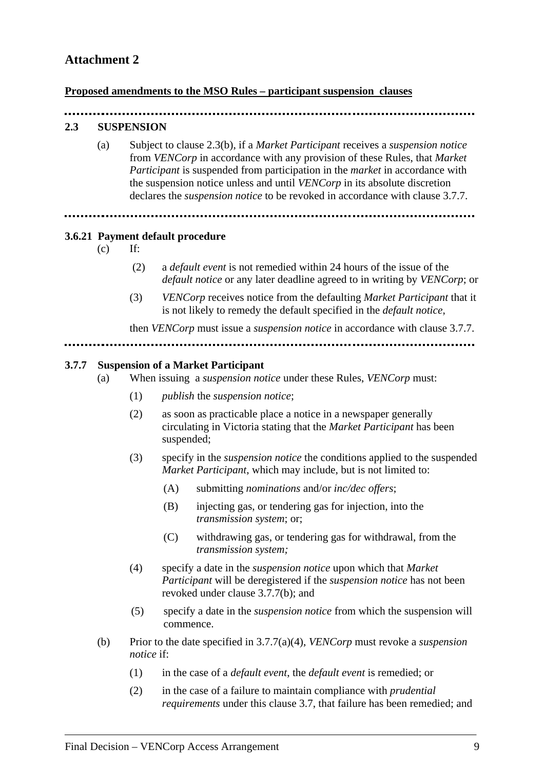#### **Proposed amendments to the MSO Rules – participant suspension clauses**

### **2.3 SUSPENSION**

(a) Subject to clause 2.3(b), if a *Market Participant* receives a *suspension notice*  from *VENCorp* in accordance with any provision of these Rules, that *Market Participant* is suspended from participation in the *market* in accordance with the suspension notice unless and until *VENCorp* in its absolute discretion declares the *suspension notice* to be revoked in accordance with clause 3.7.7.

#### **3.6.21 Payment default procedure**

- $(c)$  If:
	- (2) a *default event* is not remedied within 24 hours of the issue of the *default notice* or any later deadline agreed to in writing by *VENCorp*; or
	- (3) *VENCorp* receives notice from the defaulting *Market Participant* that it is not likely to remedy the default specified in the *default notice*,

then *VENCorp* must issue a *suspension notice* in accordance with clause 3.7.7.

#### **3.7.7 Suspension of a Market Participant**

- (a) When issuing a *suspension notice* under these Rules, *VENCorp* must:
	- (1) *publish* the *suspension notice*;
	- (2) as soon as practicable place a notice in a newspaper generally circulating in Victoria stating that the *Market Participant* has been suspended;
	- (3) specify in the *suspension notice* the conditions applied to the suspended *Market Participant*, which may include, but is not limited to:
		- (A) submitting *nominations* and/or *inc/dec offers*;
		- (B) injecting gas, or tendering gas for injection, into the *transmission system*; or;
		- (C) withdrawing gas, or tendering gas for withdrawal, from the *transmission system;*
	- (4) specify a date in the *suspension notice* upon which that *Market Participant* will be deregistered if the *suspension notice* has not been revoked under clause 3.7.7(b); and
	- (5) specify a date in the *suspension notice* from which the suspension will commence.
- (b) Prior to the date specified in 3.7.7(a)(4), *VENCorp* must revoke a *suspension notice* if:
	- (1) in the case of a *default event*, the *default event* is remedied; or
	- (2) in the case of a failure to maintain compliance with *prudential requirements* under this clause 3.7, that failure has been remedied; and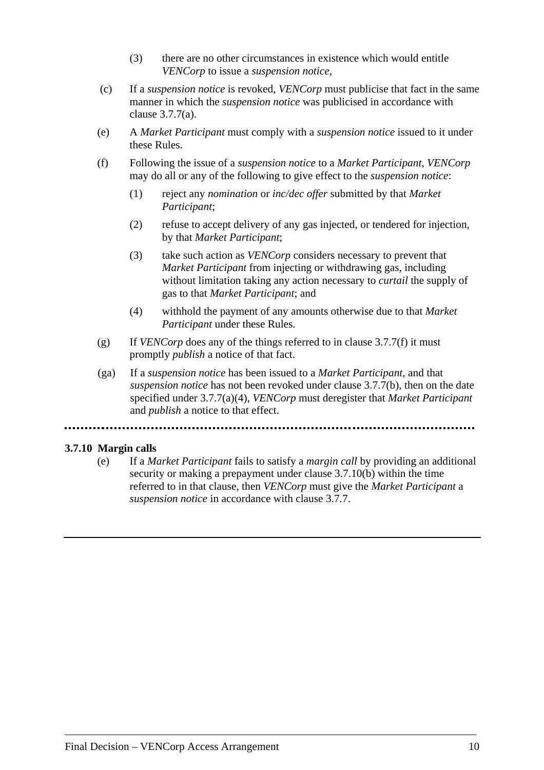- (3) there are no other circumstances in existence which would entitle *VENCorp* to issue a *suspension notice*,
- (c) If a *suspension notice* is revoked, *VENCorp* must publicise that fact in the same manner in which the *suspension notice* was publicised in accordance with clause 3.7.7(a).
- (e) A *Market Participant* must comply with a *suspension notice* issued to it under these Rules.
- (f) Following the issue of a *suspension notice* to a *Market Participant*, *VENCorp* may do all or any of the following to give effect to the *suspension notice*:
	- (1) reject any *nomination* or *inc/dec offer* submitted by that *Market Participant*;
	- (2) refuse to accept delivery of any gas injected, or tendered for injection, by that *Market Participant*;
	- (3) take such action as *VENCorp* considers necessary to prevent that *Market Participant* from injecting or withdrawing gas, including without limitation taking any action necessary to *curtail* the supply of gas to that *Market Participant*; and
	- (4) withhold the payment of any amounts otherwise due to that *Market Participant* under these Rules*.*
- (g) If *VENCorp* does any of the things referred to in clause 3.7.7(f) it must promptly *publish* a notice of that fact.
- (ga) If a *suspension notice* has been issued to a *Market Participant,* and that *suspension notice* has not been revoked under clause 3.7.7(b), then on the date specified under 3.7.7(a)(4), *VENCorp* must deregister that *Market Participant* and *publish* a notice to that effect.

### **3.7.10 Margin calls**

(e) If a *Market Participant* fails to satisfy a *margin call* by providing an additional security or making a prepayment under clause 3.7.10(b) within the time referred to in that clause, then *VENCorp* must give the *Market Participant* a *suspension notice* in accordance with clause 3.7.7.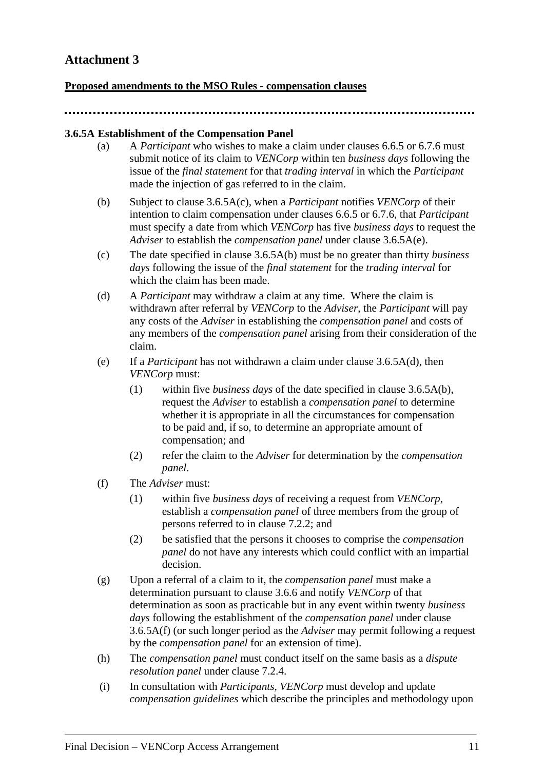### **Proposed amendments to the MSO Rules - compensation clauses**

#### **3.6.5A Establishment of the Compensation Panel**

- (a) A *Participant* who wishes to make a claim under clauses 6.6.5 or 6.7.6 must submit notice of its claim to *VENCorp* within ten *business days* following the issue of the *final statement* for that *trading interval* in which the *Participant*  made the injection of gas referred to in the claim.
- (b) Subject to clause 3.6.5A(c), when a *Participant* notifies *VENCorp* of their intention to claim compensation under clauses 6.6.5 or 6.7.6, that *Participant* must specify a date from which *VENCorp* has five *business days* to request the *Adviser* to establish the *compensation panel* under clause 3.6.5A(e).
- (c) The date specified in clause 3.6.5A(b) must be no greater than thirty *business days* following the issue of the *final statement* for the *trading interval* for which the claim has been made.
- (d) A *Participant* may withdraw a claim at any time. Where the claim is withdrawn after referral by *VENCorp* to the *Adviser*, the *Participant* will pay any costs of the *Adviser* in establishing the *compensation panel* and costs of any members of the *compensation panel* arising from their consideration of the claim.
- (e) If a *Participant* has not withdrawn a claim under clause 3.6.5A(d), then *VENCorp* must:
	- (1) within five *business days* of the date specified in clause 3.6.5A(b), request the *Adviser* to establish a *compensation panel* to determine whether it is appropriate in all the circumstances for compensation to be paid and, if so, to determine an appropriate amount of compensation; and
	- (2) refer the claim to the *Adviser* for determination by the *compensation panel*.
- (f) The *Adviser* must:
	- (1) within five *business days* of receiving a request from *VENCorp*, establish a *compensation panel* of three members from the group of persons referred to in clause 7.2.2; and
	- (2) be satisfied that the persons it chooses to comprise the *compensation panel* do not have any interests which could conflict with an impartial decision.
- (g) Upon a referral of a claim to it, the *compensation panel* must make a determination pursuant to clause 3.6.6 and notify *VENCorp* of that determination as soon as practicable but in any event within twenty *business days* following the establishment of the *compensation panel* under clause 3.6.5A(f) (or such longer period as the *Adviser* may permit following a request by the *compensation panel* for an extension of time).
- (h) The *compensation panel* must conduct itself on the same basis as a *dispute resolution panel* under clause 7.2.4.
- (i) In consultation with *Participants, VENCorp* must develop and update *compensation guidelines* which describe the principles and methodology upon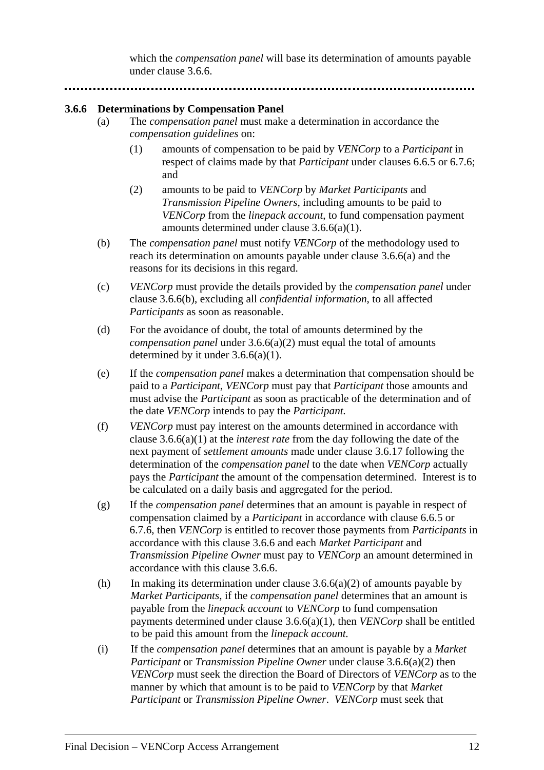which the *compensation panel* will base its determination of amounts payable under clause 3.6.6.

#### **3.6.6 Determinations by Compensation Panel**

- (a) The *compensation panel* must make a determination in accordance the *compensation guidelines* on:
	- (1) amounts of compensation to be paid by *VENCorp* to a *Participant* in respect of claims made by that *Participant* under clauses 6.6.5 or 6.7.6; and
	- (2) amounts to be paid to *VENCorp* by *Market Participants* and *Transmission Pipeline Owners*, including amounts to be paid to *VENCorp* from the *linepack account*, to fund compensation payment amounts determined under clause 3.6.6(a)(1).
- (b) The *compensation panel* must notify *VENCorp* of the methodology used to reach its determination on amounts payable under clause 3.6.6(a) and the reasons for its decisions in this regard.
- (c) *VENCorp* must provide the details provided by the *compensation panel* under clause 3.6.6(b), excluding all *confidential information*, to all affected *Participants* as soon as reasonable.
- (d) For the avoidance of doubt, the total of amounts determined by the *compensation panel* under 3.6.6(a)(2) must equal the total of amounts determined by it under  $3.6.6(a)(1)$ .
- (e) If the *compensation panel* makes a determination that compensation should be paid to a *Participant*, *VENCorp* must pay that *Participant* those amounts and must advise the *Participant* as soon as practicable of the determination and of the date *VENCorp* intends to pay the *Participant.*
- (f) *VENCorp* must pay interest on the amounts determined in accordance with clause 3.6.6(a)(1) at the *interest rate* from the day following the date of the next payment of *settlement amounts* made under clause 3.6.17 following the determination of the *compensation panel* to the date when *VENCorp* actually pays the *Participant* the amount of the compensation determined. Interest is to be calculated on a daily basis and aggregated for the period.
- (g) If the *compensation panel* determines that an amount is payable in respect of compensation claimed by a *Participant* in accordance with clause 6.6.5 or 6.7.6, then *VENCorp* is entitled to recover those payments from *Participants* in accordance with this clause 3.6.6 and each *Market Participant* and *Transmission Pipeline Owner* must pay to *VENCorp* an amount determined in accordance with this clause 3.6.6.
- (h) In making its determination under clause  $3.6.6(a)(2)$  of amounts payable by *Market Participants*, if the *compensation panel* determines that an amount is payable from the *linepack account* to *VENCorp* to fund compensation payments determined under clause 3.6.6(a)(1), then *VENCorp* shall be entitled to be paid this amount from the *linepack account.*
- (i) If the *compensation panel* determines that an amount is payable by a *Market Participant* or *Transmission Pipeline Owner* under clause 3.6.6(a)(2) then *VENCorp* must seek the direction the Board of Directors of *VENCorp* as to the manner by which that amount is to be paid to *VENCorp* by that *Market Participant* or *Transmission Pipeline Owner*. *VENCorp* must seek that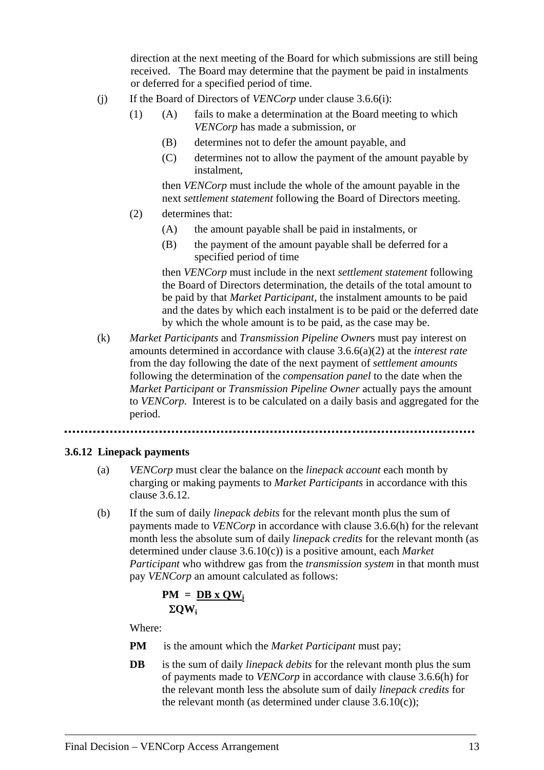direction at the next meeting of the Board for which submissions are still being received. The Board may determine that the payment be paid in instalments or deferred for a specified period of time.

- (j) If the Board of Directors of *VENCorp* under clause 3.6.6(i):
	- (1) (A) fails to make a determination at the Board meeting to which *VENCorp* has made a submission, or
		- (B) determines not to defer the amount payable, and
		- (C) determines not to allow the payment of the amount payable by instalment,

then *VENCorp* must include the whole of the amount payable in the next *settlement statement* following the Board of Directors meeting.

- (2) determines that:
	- (A) the amount payable shall be paid in instalments, or
	- (B) the payment of the amount payable shall be deferred for a specified period of time

then *VENCorp* must include in the next *settlement statement* following the Board of Directors determination, the details of the total amount to be paid by that *Market Participant*, the instalment amounts to be paid and the dates by which each instalment is to be paid or the deferred date by which the whole amount is to be paid, as the case may be.

(k) *Market Participants* and *Transmission Pipeline Owner*s must pay interest on amounts determined in accordance with clause 3.6.6(a)(2) at the *interest rate* from the day following the date of the next payment of *settlement amounts* following the determination of the *compensation panel* to the date when the *Market Participant* or *Transmission Pipeline Owner* actually pays the amount to *VENCorp*. Interest is to be calculated on a daily basis and aggregated for the period.

### **3.6.12 Linepack payments**

- (a) *VENCorp* must clear the balance on the *linepack account* each month by charging or making payments to *Market Participants* in accordance with this clause 3.6.12.
- (b) If the sum of daily *linepack debits* for the relevant month plus the sum of payments made to *VENCorp* in accordance with clause 3.6.6(h) for the relevant month less the absolute sum of daily *linepack credits* for the relevant month (as determined under clause 3.6.10(c)) is a positive amount, each *Market Participant* who withdrew gas from the *transmission system* in that month must pay *VENCorp* an amount calculated as follows:

$$
PM = \underline{DB \times OW_i} \Sigma QW_i
$$

Where:

- **PM** is the amount which the *Market Participant* must pay;
- **DB** is the sum of daily *linepack debits* for the relevant month plus the sum of payments made to *VENCorp* in accordance with clause 3.6.6(h) for the relevant month less the absolute sum of daily *linepack credits* for the relevant month (as determined under clause  $3.6.10(c)$ );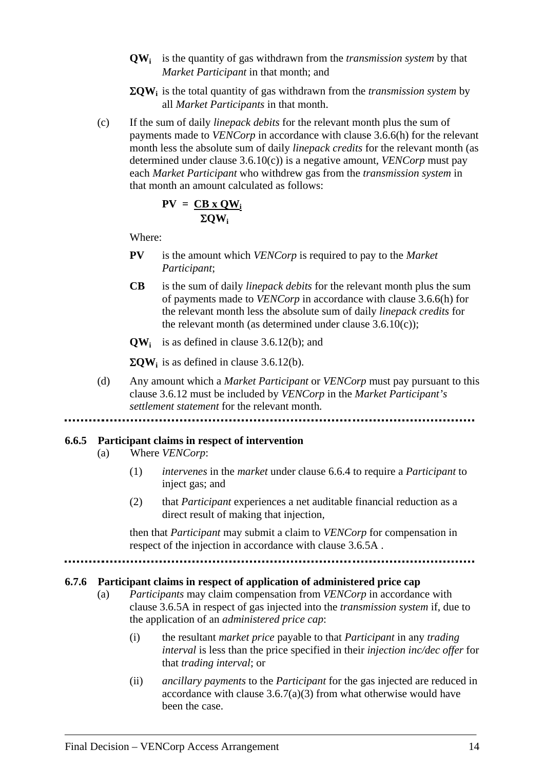- **QWi** is the quantity of gas withdrawn from the *transmission system* by that *Market Participant* in that month; and
- Σ**QWi** is the total quantity of gas withdrawn from the *transmission system* by all *Market Participants* in that month.
- (c) If the sum of daily *linepack debits* for the relevant month plus the sum of payments made to *VENCorp* in accordance with clause 3.6.6(h) for the relevant month less the absolute sum of daily *linepack credits* for the relevant month (as determined under clause 3.6.10(c)) is a negative amount*, VENCorp* must pay each *Market Participant* who withdrew gas from the *transmission system* in that month an amount calculated as follows:

$$
PV = \frac{CB \times QW_i}{\Sigma QW_i}
$$

Where:

- **PV** is the amount which *VENCorp* is required to pay to the *Market Participant*;
- **CB** is the sum of daily *linepack debits* for the relevant month plus the sum of payments made to *VENCorp* in accordance with clause 3.6.6(h) for the relevant month less the absolute sum of daily *linepack credits* for the relevant month (as determined under clause  $3.6.10(c)$ );
- **QWi** is as defined in clause 3.6.12(b); and

 $\Sigma QW_i$  is as defined in clause 3.6.12(b).

(d) Any amount which a *Market Participant* or *VENCorp* must pay pursuant to this clause 3.6.12 must be included by *VENCorp* in the *Market Participant's settlement statement* for the relevant month*.*

#### **6.6.5 Participant claims in respect of intervention**

- (a) Where *VENCorp*:
	- (1) *intervenes* in the *market* under clause 6.6.4 to require a *Participant* to inject gas; and
	- (2) that *Participant* experiences a net auditable financial reduction as a direct result of making that injection*,*

then that *Participant* may submit a claim to *VENCorp* for compensation in respect of the injection in accordance with clause 3.6.5A .

#### **6.7.6 Participant claims in respect of application of administered price cap**

- (a) *Participants* may claim compensation from *VENCorp* in accordance with clause 3.6.5A in respect of gas injected into the *transmission system* if, due to the application of an *administered price cap*:
	- (i) the resultant *market price* payable to that *Participant* in any *trading interval* is less than the price specified in their *injection inc/dec offer* for that *trading interval*; or
	- (ii) *ancillary payments* to the *Participant* for the gas injected are reduced in accordance with clause  $3.6.7(a)(3)$  from what otherwise would have been the case.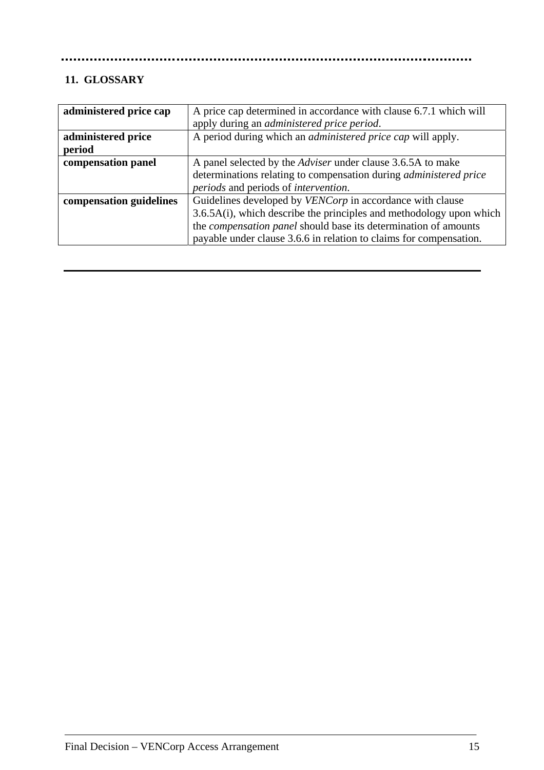#### ..............

# **11. GLOSSARY**

| A price cap determined in accordance with clause 6.7.1 which will        |
|--------------------------------------------------------------------------|
| apply during an <i>administered price period</i> .                       |
| A period during which an <i>administered price cap</i> will apply.       |
|                                                                          |
| A panel selected by the <i>Adviser</i> under clause 3.6.5A to make       |
| determinations relating to compensation during <i>administered price</i> |
| <i>periods</i> and periods of <i>intervention</i> .                      |
| Guidelines developed by VENCorp in accordance with clause                |
| $3.6.5A(i)$ , which describe the principles and methodology upon which   |
| the <i>compensation panel</i> should base its determination of amounts   |
| payable under clause 3.6.6 in relation to claims for compensation.       |
|                                                                          |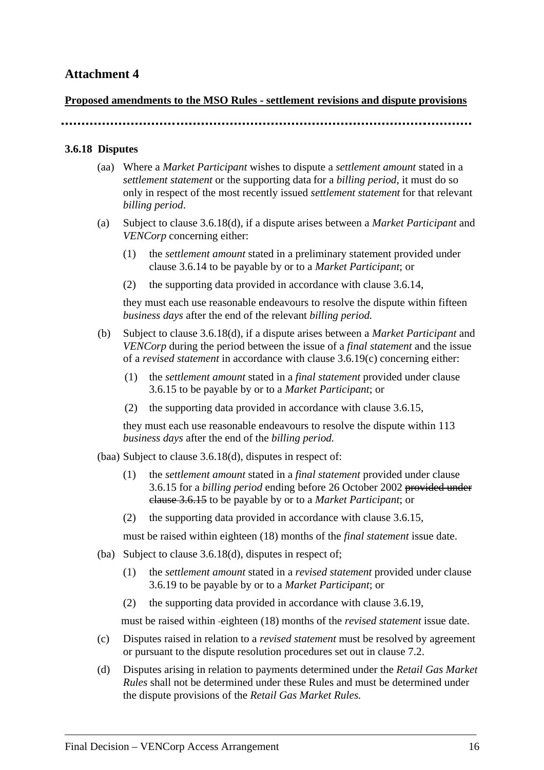### **Proposed amendments to the MSO Rules - settlement revisions and dispute provisions**

### **3.6.18 Disputes**

- (aa) Where a *Market Participant* wishes to dispute a *settlement amount* stated in a *settlement statement* or the supporting data for a *billing period*, it must do so only in respect of the most recently issued *settlement statement* for that relevant *billing period*.
- (a) Subject to clause 3.6.18(d), if a dispute arises between a *Market Participant* and *VENCorp* concerning either:
	- (1) the *settlement amount* stated in a preliminary statement provided under clause 3.6.14 to be payable by or to a *Market Participant*; or
	- (2) the supporting data provided in accordance with clause 3.6.14,

they must each use reasonable endeavours to resolve the dispute within fifteen *business days* after the end of the relevant *billing period.*

- (b) Subject to clause 3.6.18(d), if a dispute arises between a *Market Participant* and *VENCorp* during the period between the issue of a *final statement* and the issue of a *revised statement* in accordance with clause 3.6.19(c) concerning either:
	- (1) the *settlement amount* stated in a *final statement* provided under clause 3.6.15 to be payable by or to a *Market Participant*; or
	- (2) the supporting data provided in accordance with clause 3.6.15,

they must each use reasonable endeavours to resolve the dispute within 113 *business days* after the end of the *billing period.*

(baa) Subject to clause 3.6.18(d), disputes in respect of:

- (1) the *settlement amount* stated in a *final statement* provided under clause 3.6.15 for a *billing period* ending before 26 October 2002 provided under clause 3.6.15 to be payable by or to a *Market Participant*; or
- (2) the supporting data provided in accordance with clause 3.6.15,

must be raised within eighteen (18) months of the *final statement* issue date.

- (ba) Subject to clause 3.6.18(d), disputes in respect of;
	- (1) the *settlement amount* stated in a *revised statement* provided under clause 3.6.19 to be payable by or to a *Market Participant*; or
	- (2) the supporting data provided in accordance with clause 3.6.19,

must be raised within eighteen (18) months of the *revised statement* issue date.

- (c) Disputes raised in relation to a *revised statement* must be resolved by agreement or pursuant to the dispute resolution procedures set out in clause 7.2.
- (d) Disputes arising in relation to payments determined under the *Retail Gas Market Rules* shall not be determined under these Rules and must be determined under the dispute provisions of the *Retail Gas Market Rules.*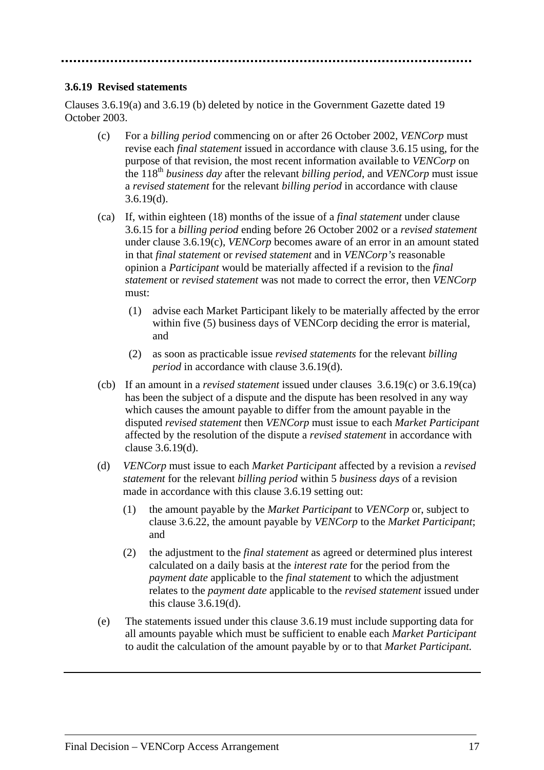#### **3.6.19 Revised statements**

Clauses 3.6.19(a) and 3.6.19 (b) deleted by notice in the Government Gazette dated 19 October 2003.

- (c) For a *billing period* commencing on or after 26 October 2002, *VENCorp* must revise each *final statement* issued in accordance with clause 3.6.15 using, for the purpose of that revision, the most recent information available to *VENCorp* on the 118th *business day* after the relevant *billing period*, and *VENCorp* must issue a *revised statement* for the relevant *billing period* in accordance with clause  $3.6.19(d)$ .
- (ca) If, within eighteen (18) months of the issue of a *final statement* under clause 3.6.15 for a *billing period* ending before 26 October 2002 or a *revised statement* under clause 3.6.19(c), *VENCorp* becomes aware of an error in an amount stated in that *final statement* or *revised statement* and in *VENCorp's* reasonable opinion a *Participant* would be materially affected if a revision to the *final statement* or *revised statement* was not made to correct the error, then *VENCorp*  must:
	- (1) advise each Market Participant likely to be materially affected by the error within five (5) business days of VENCorp deciding the error is material, and
	- (2) as soon as practicable issue *revised statements* for the relevant *billing period* in accordance with clause 3.6.19(d).
- (cb) If an amount in a *revised statement* issued under clauses 3.6.19(c) or 3.6.19(ca) has been the subject of a dispute and the dispute has been resolved in any way which causes the amount payable to differ from the amount payable in the disputed *revised statement* then *VENCorp* must issue to each *Market Participant* affected by the resolution of the dispute a *revised statement* in accordance with clause 3.6.19(d).
- (d) *VENCorp* must issue to each *Market Participant* affected by a revision a *revised statement* for the relevant *billing period* within 5 *business days* of a revision made in accordance with this clause 3.6.19 setting out:
	- (1) the amount payable by the *Market Participant* to *VENCorp* or, subject to clause 3.6.22, the amount payable by *VENCorp* to the *Market Participant*; and
	- (2) the adjustment to the *final statement* as agreed or determined plus interest calculated on a daily basis at the *interest rate* for the period from the *payment date* applicable to the *final statement* to which the adjustment relates to the *payment date* applicable to the *revised statement* issued under this clause 3.6.19(d).
- (e) The statements issued under this clause 3.6.19 must include supporting data for all amounts payable which must be sufficient to enable each *Market Participant* to audit the calculation of the amount payable by or to that *Market Participant.*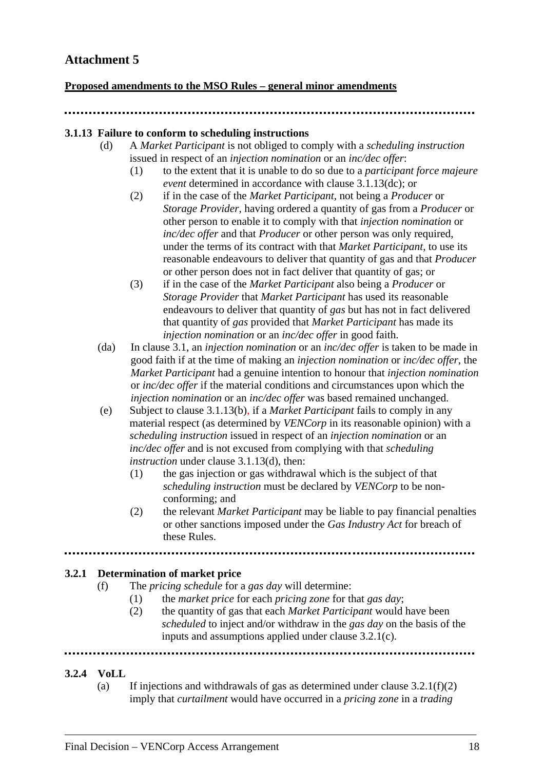### **Proposed amendments to the MSO Rules – general minor amendments**

#### **3.1.13 Failure to conform to scheduling instructions**

- (d) A *Market Participant* is not obliged to comply with a *scheduling instruction* issued in respect of an *injection nomination* or an *inc/dec offer*:
	- (1) to the extent that it is unable to do so due to a *participant force majeure event* determined in accordance with clause 3.1.13(dc); or
	- (2) if in the case of the *Market Participant,* not being a *Producer* or *Storage Provider,* having ordered a quantity of gas from a *Producer* or other person to enable it to comply with that *injection nomination* or *inc/dec offer* and that *Producer* or other person was only required, under the terms of its contract with that *Market Participant*, to use its reasonable endeavours to deliver that quantity of gas and that *Producer*  or other person does not in fact deliver that quantity of gas; or
	- (3) if in the case of the *Market Participant* also being a *Producer* or *Storage Provider* that *Market Participant* has used its reasonable endeavours to deliver that quantity of *gas* but has not in fact delivered that quantity of *gas* provided that *Market Participant* has made its *injection nomination* or an *inc/dec offer* in good faith.
- (da) In clause 3.1, an *injection nomination* or an *inc/dec offer* is taken to be made in good faith if at the time of making an *injection nomination* or *inc/dec offer*, the *Market Participant* had a genuine intention to honour that *injection nomination* or *inc/dec offer* if the material conditions and circumstances upon which the *injection nomination* or an *inc/dec offer* was based remained unchanged.
- (e) Subject to clause 3.1.13(b), if a *Market Participant* fails to comply in any material respect (as determined by *VENCorp* in its reasonable opinion) with a *scheduling instruction* issued in respect of an *injection nomination* or an *inc/dec offer* and is not excused from complying with that *scheduling instruction* under clause 3.1.13(d), then:
	- (1) the gas injection or gas withdrawal which is the subject of that *scheduling instruction* must be declared by *VENCorp* to be nonconforming; and
	- (2) the relevant *Market Participant* may be liable to pay financial penalties or other sanctions imposed under the *Gas Industry Act* for breach of these Rules.

### **3.2.1 Determination of market price**

- (f) The *pricing schedule* for a *gas day* will determine:
	- (1) the *market price* for each *pricing zone* for that *gas day*;
	- (2) the quantity of gas that each *Market Participant* would have been *scheduled* to inject and/or withdraw in the *gas day* on the basis of the inputs and assumptions applied under clause 3.2.1(c).

### **3.2.4 VoLL**

(a) If injections and withdrawals of gas as determined under clause  $3.2.1(f)(2)$ imply that *curtailment* would have occurred in a *pricing zone* in a *trading*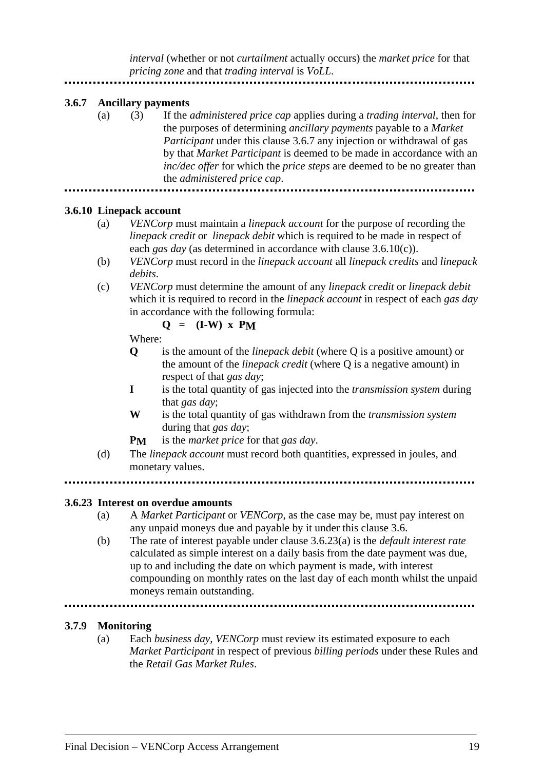*interval* (whether or not *curtailment* actually occurs) the *market price* for that *pricing zone* and that *trading interval* is *VoLL*.

#### **3.6.7 Ancillary payments**

(a) (3) If the *administered price cap* applies during a *trading interval*, then for the purposes of determining *ancillary payments* payable to a *Market Participant* under this clause 3.6.7 any injection or withdrawal of gas by that *Market Participant* is deemed to be made in accordance with an *inc/dec offer* for which the *price steps* are deemed to be no greater than the *administered price cap*. 

#### **3.6.10 Linepack account**

- (a) *VENCorp* must maintain a *linepack account* for the purpose of recording the *linepack credit* or *linepack debit* which is required to be made in respect of each *gas day* (as determined in accordance with clause 3.6.10(c)).
- (b) *VENCorp* must record in the *linepack account* all *linepack credits* and *linepack debits*.
- (c) *VENCorp* must determine the amount of any *linepack credit* or *linepack debit*  which it is required to record in the *linepack account* in respect of each *gas day*  in accordance with the following formula:

### $Q = (I-W) \times P_M$

Where:

- **Q** is the amount of the *linepack debit* (where Q is a positive amount) or the amount of the *linepack credit* (where Q is a negative amount) in respect of that *gas day*;
- **I** is the total quantity of gas injected into the *transmission system* during that *gas day*;
- **W** is the total quantity of gas withdrawn from the *transmission system*  during that *gas day*;
- **PM** is the *market price* for that *gas day*.
- (d) The *linepack account* must record both quantities, expressed in joules, and monetary values.
- 

#### **3.6.23 Interest on overdue amounts**

- (a) A *Market Participant* or *VENCorp*, as the case may be, must pay interest on any unpaid moneys due and payable by it under this clause 3.6.
- (b) The rate of interest payable under clause 3.6.23(a) is the *default interest rate* calculated as simple interest on a daily basis from the date payment was due, up to and including the date on which payment is made, with interest compounding on monthly rates on the last day of each month whilst the unpaid moneys remain outstanding.

#### **3.7.9 Monitoring**

(a) Each *business day*, *VENCorp* must review its estimated exposure to each *Market Participant* in respect of previous *billing periods* under these Rules and the *Retail Gas Market Rules*.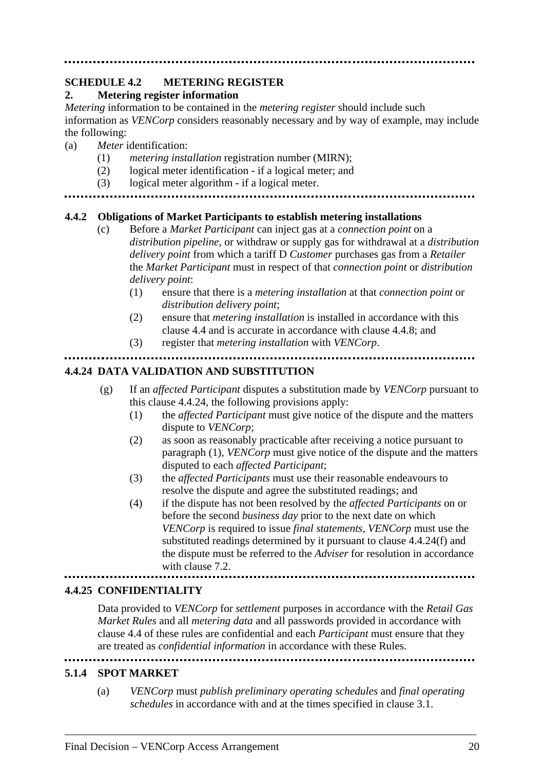#### **SCHEDULE 4.2 METERING REGISTER 2. Metering register information**

*Metering* information to be contained in the *metering register* should include such information as *VENCorp* considers reasonably necessary and by way of example, may include the following:

- (a) *Meter* identification:
	- (1) *metering installation* registration number (MIRN);
	- (2) logical meter identification if a logical meter; and
	- (3) logical meter algorithm if a logical meter.
- 

### **4.4.2 Obligations of Market Participants to establish metering installations**

- (c) Before a *Market Participant* can inject gas at a *connection point* on a *distribution pipeline*, or withdraw or supply gas for withdrawal at a *distribution delivery point* from which a tariff D *Customer* purchases gas from a *Retailer*  the *Market Participant* must in respect of that *connection point* or *distribution delivery point*:
	- (1) ensure that there is a *metering installation* at that *connection point* or *distribution delivery point*;
	- (2) ensure that *metering installation* is installed in accordance with this clause 4.4 and is accurate in accordance with clause 4.4.8; and
	- (3) register that *metering installation* with *VENCorp*.

### **4.4.24 DATA VALIDATION AND SUBSTITUTION**

- (g) If an *affected Participant* disputes a substitution made by *VENCorp* pursuant to this clause 4.4.24, the following provisions apply:
	- (1) the *affected Participant* must give notice of the dispute and the matters dispute to *VENCorp*;
	- (2) as soon as reasonably practicable after receiving a notice pursuant to paragraph (1), *VENCorp* must give notice of the dispute and the matters disputed to each *affected Participant*;
	- (3) the *affected Participants* must use their reasonable endeavours to resolve the dispute and agree the substituted readings; and
	- (4) if the dispute has not been resolved by the *affected Participants* on or before the second *business day* prior to the next date on which *VENCorp* is required to issue *final statements*, *VENCorp* must use the substituted readings determined by it pursuant to clause 4.4.24(f) and the dispute must be referred to the *Adviser* for resolution in accordance with clause 7.2.

#### **4.4.25 CONFIDENTIALITY**

Data provided to *VENCorp* for *settlement* purposes in accordance with the *Retail Gas Market Rules* and all *metering data* and all passwords provided in accordance with clause 4.4 of these rules are confidential and each *Participant* must ensure that they are treated as *confidential information* in accordance with these Rules. 

### **5.1.4 SPOT MARKET**

(a) *VENCorp* must *publish preliminary operating schedules* and *final operating schedules* in accordance with and at the times specified in clause 3.1.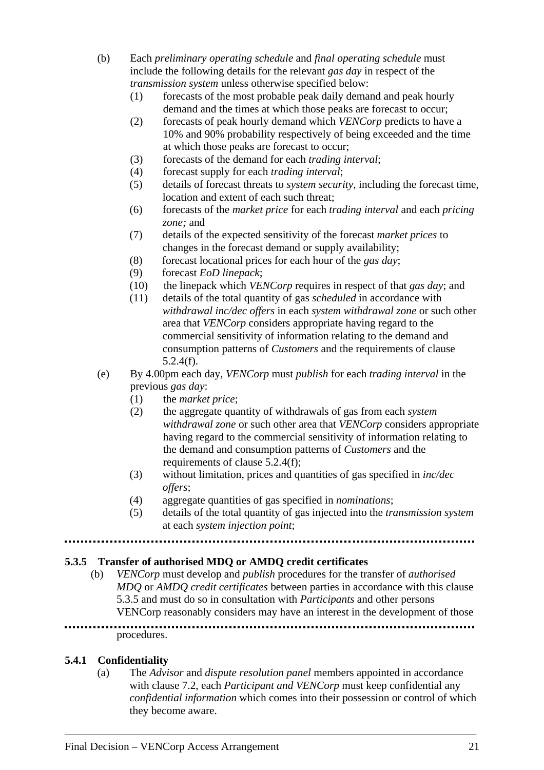- (b) Each *preliminary operating schedule* and *final operating schedule* must include the following details for the relevant *gas day* in respect of the *transmission system* unless otherwise specified below:
	- (1) forecasts of the most probable peak daily demand and peak hourly demand and the times at which those peaks are forecast to occur;
	- (2) forecasts of peak hourly demand which *VENCorp* predicts to have a 10% and 90% probability respectively of being exceeded and the time at which those peaks are forecast to occur;
	- (3) forecasts of the demand for each *trading interval*;
	- (4) forecast supply for each *trading interval*;
	- (5) details of forecast threats to *system security*, including the forecast time, location and extent of each such threat;
	- (6) forecasts of the *market price* for each *trading interval* and each *pricing zone;* and
	- (7) details of the expected sensitivity of the forecast *market prices* to changes in the forecast demand or supply availability;
	- (8) forecast locational prices for each hour of the *gas day*;
	- (9) forecast *EoD linepack*;
	- (10) the linepack which *VENCorp* requires in respect of that *gas day*; and
	- (11) details of the total quantity of gas *scheduled* in accordance with *withdrawal inc/dec offers* in each *system withdrawal zone* or such other area that *VENCorp* considers appropriate having regard to the commercial sensitivity of information relating to the demand and consumption patterns of *Customers* and the requirements of clause 5.2.4(f).
- (e) By 4.00pm each day, *VENCorp* must *publish* for each *trading interval* in the previous *gas day*:
	- (1) the *market price*;
	- (2) the aggregate quantity of withdrawals of gas from each *system withdrawal zone* or such other area that *VENCorp* considers appropriate having regard to the commercial sensitivity of information relating to the demand and consumption patterns of *Customers* and the requirements of clause 5.2.4(f);
	- (3) without limitation, prices and quantities of gas specified in *inc/dec offers*;
	- (4) aggregate quantities of gas specified in *nominations*;
	- (5) details of the total quantity of gas injected into the *transmission system* at each *system injection point*;

# **5.3.5 Transfer of authorised MDQ or AMDQ credit certificates**

(b) *VENCorp* must develop and *publish* procedures for the transfer of *authorised MDQ* or *AMDQ credit certificates* between parties in accordance with this clause 5.3.5 and must do so in consultation with *Participants* and other persons VENCorp reasonably considers may have an interest in the development of those 

# procedures.

# **5.4.1 Confidentiality**

(a) The *Advisor* and *dispute resolution panel* members appointed in accordance with clause 7.2, each *Participant and VENCorp* must keep confidential any *confidential information* which comes into their possession or control of which they become aware.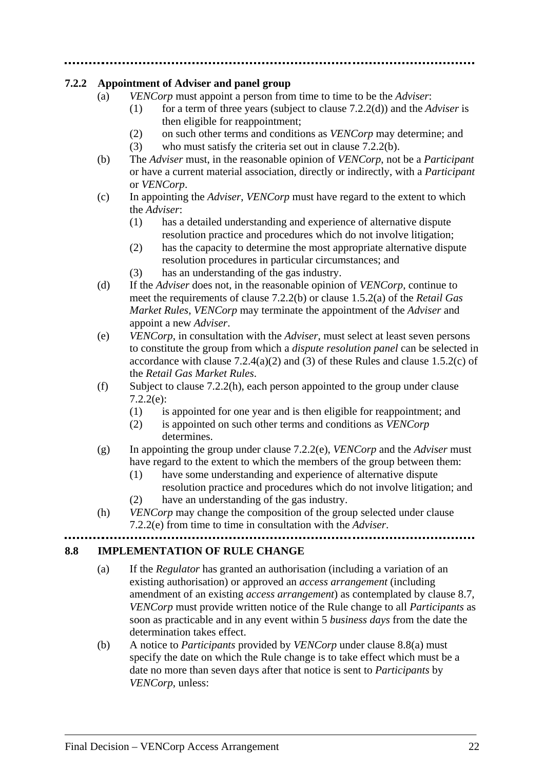# **7.2.2 Appointment of Adviser and panel group**

- (a) *VENCorp* must appoint a person from time to time to be the *Adviser*:
	- (1) for a term of three years (subject to clause 7.2.2(d)) and the *Adviser* is then eligible for reappointment;
	- (2) on such other terms and conditions as *VENCorp* may determine; and
	- (3) who must satisfy the criteria set out in clause 7.2.2(b).
- (b) The *Adviser* must, in the reasonable opinion of *VENCorp*, not be a *Participant*  or have a current material association, directly or indirectly, with a *Participant* or *VENCorp*.
- (c) In appointing the *Adviser*, *VENCorp* must have regard to the extent to which the *Adviser*:
	- (1) has a detailed understanding and experience of alternative dispute resolution practice and procedures which do not involve litigation;
	- (2) has the capacity to determine the most appropriate alternative dispute resolution procedures in particular circumstances; and
	- (3) has an understanding of the gas industry.
- (d) If the *Adviser* does not, in the reasonable opinion of *VENCorp*, continue to meet the requirements of clause 7.2.2(b) or clause 1.5.2(a) of the *Retail Gas Market Rules*, *VENCorp* may terminate the appointment of the *Adviser* and appoint a new *Adviser*.
- (e) *VENCorp*, in consultation with the *Adviser*, must select at least seven persons to constitute the group from which a *dispute resolution panel* can be selected in accordance with clause  $7.2.4(a)(2)$  and  $(3)$  of these Rules and clause 1.5.2(c) of the *Retail Gas Market Rules*.
- (f) Subject to clause 7.2.2(h), each person appointed to the group under clause 7.2.2(e):
	- (1) is appointed for one year and is then eligible for reappointment; and
	- (2) is appointed on such other terms and conditions as *VENCorp*  determines.
- (g) In appointing the group under clause 7.2.2(e), *VENCorp* and the *Adviser* must have regard to the extent to which the members of the group between them:
	- (1) have some understanding and experience of alternative dispute
	- resolution practice and procedures which do not involve litigation; and (2) have an understanding of the gas industry.
- (h) *VENCorp* may change the composition of the group selected under clause 7.2.2(e) from time to time in consultation with the *Adviser*.

# **8.8 IMPLEMENTATION OF RULE CHANGE**

- (a) If the *Regulator* has granted an authorisation (including a variation of an existing authorisation) or approved an *access arrangement* (including amendment of an existing *access arrangement*) as contemplated by clause 8.7, *VENCorp* must provide written notice of the Rule change to all *Participants* as soon as practicable and in any event within 5 *business days* from the date the determination takes effect.
- (b) A notice to *Participants* provided by *VENCorp* under clause 8.8(a) must specify the date on which the Rule change is to take effect which must be a date no more than seven days after that notice is sent to *Participants* by *VENCorp*, unless: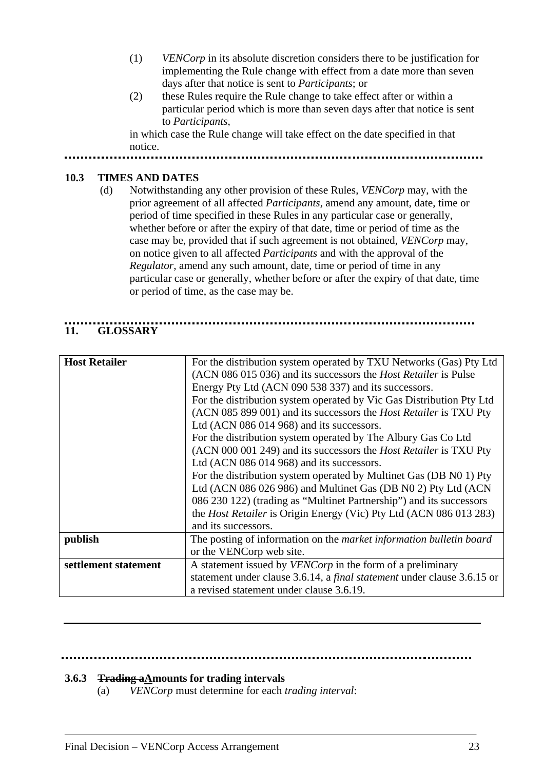- (1) *VENCorp* in its absolute discretion considers there to be justification for implementing the Rule change with effect from a date more than seven days after that notice is sent to *Participants*; or
- (2) these Rules require the Rule change to take effect after or within a particular period which is more than seven days after that notice is sent to *Participants*,

in which case the Rule change will take effect on the date specified in that notice.

# **10.3 TIMES AND DATES**

 (d) Notwithstanding any other provision of these Rules, *VENCorp* may, with the prior agreement of all affected *Participants,* amend any amount, date, time or period of time specified in these Rules in any particular case or generally, whether before or after the expiry of that date, time or period of time as the case may be, provided that if such agreement is not obtained, *VENCorp* may, on notice given to all affected *Participants* and with the approval of the *Regulator*, amend any such amount, date, time or period of time in any particular case or generally, whether before or after the expiry of that date, time or period of time, as the case may be.

# **11. GLOSSARY**

| <b>Host Retailer</b> | For the distribution system operated by TXU Networks (Gas) Pty Ltd<br>(ACN 086 015 036) and its successors the <i>Host Retailer</i> is Pulse<br>Energy Pty Ltd (ACN 090 538 337) and its successors.<br>For the distribution system operated by Vic Gas Distribution Pty Ltd<br>(ACN 085 899 001) and its successors the <i>Host Retailer</i> is TXU Pty<br>Ltd (ACN 086 014 968) and its successors.<br>For the distribution system operated by The Albury Gas Co Ltd<br>(ACN 000 001 249) and its successors the <i>Host Retailer</i> is TXU Pty<br>Ltd (ACN 086 014 968) and its successors.<br>For the distribution system operated by Multinet Gas (DB N0 1) Pty<br>Ltd (ACN 086 026 986) and Multinet Gas (DB N0 2) Pty Ltd (ACN<br>086 230 122) (trading as "Multinet Partnership") and its successors<br>the <i>Host Retailer</i> is Origin Energy (Vic) Pty Ltd (ACN 086 013 283)<br>and its successors. |
|----------------------|-------------------------------------------------------------------------------------------------------------------------------------------------------------------------------------------------------------------------------------------------------------------------------------------------------------------------------------------------------------------------------------------------------------------------------------------------------------------------------------------------------------------------------------------------------------------------------------------------------------------------------------------------------------------------------------------------------------------------------------------------------------------------------------------------------------------------------------------------------------------------------------------------------------------|
| publish              | The posting of information on the market information bulletin board<br>or the VENCorp web site.                                                                                                                                                                                                                                                                                                                                                                                                                                                                                                                                                                                                                                                                                                                                                                                                                   |
|                      |                                                                                                                                                                                                                                                                                                                                                                                                                                                                                                                                                                                                                                                                                                                                                                                                                                                                                                                   |
| settlement statement | A statement issued by <i>VENCorp</i> in the form of a preliminary                                                                                                                                                                                                                                                                                                                                                                                                                                                                                                                                                                                                                                                                                                                                                                                                                                                 |
|                      | statement under clause 3.6.14, a final statement under clause 3.6.15 or                                                                                                                                                                                                                                                                                                                                                                                                                                                                                                                                                                                                                                                                                                                                                                                                                                           |
|                      | a revised statement under clause 3.6.19.                                                                                                                                                                                                                                                                                                                                                                                                                                                                                                                                                                                                                                                                                                                                                                                                                                                                          |

### **3.6.3 Trading aAmounts for trading intervals**

(a) *VENCorp* must determine for each *trading interval*: